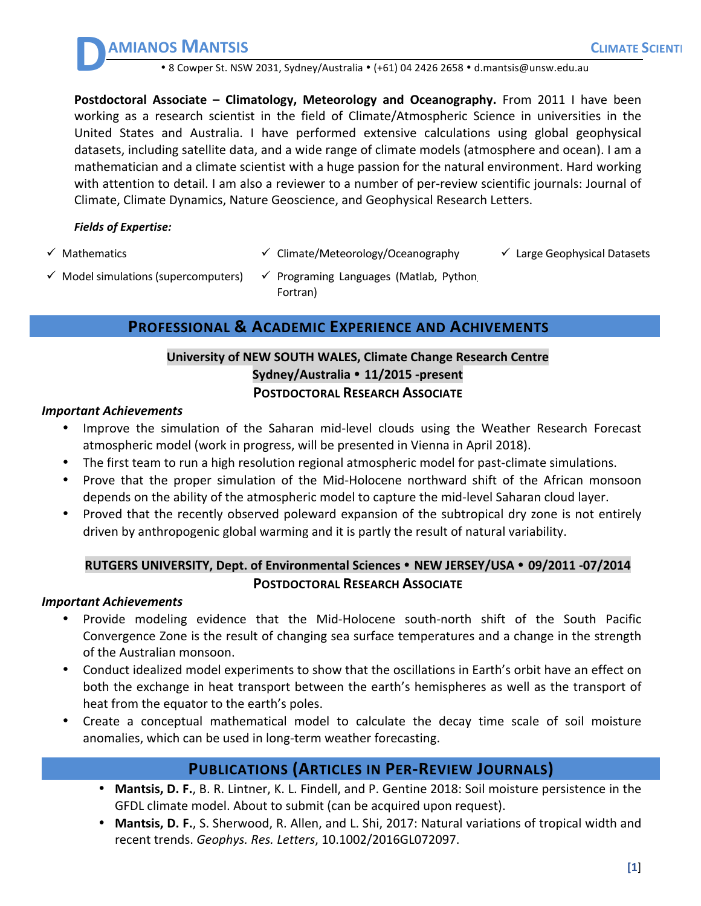**AMIANOS MANTSIS CLIMATE** SCIENTI

• 8 Cowper St. NSW 2031, Sydney/Australia • (+61) 04 2426 2658 • d.mantsis@unsw.edu.au

**Postdoctoral Associate – Climatology, Meteorology and Oceanography.** From 2011 I have been working as a research scientist in the field of Climate/Atmospheric Science in universities in the United States and Australia. I have performed extensive calculations using global geophysical datasets, including satellite data, and a wide range of climate models (atmosphere and ocean). I am a mathematician and a climate scientist with a huge passion for the natural environment. Hard working with attention to detail. I am also a reviewer to a number of per-review scientific journals: Journal of Climate, Climate Dynamics, Nature Geoscience, and Geophysical Research Letters.

#### *Fields of Expertise:*

**D**

- $\checkmark$  Mathematics  $\checkmark$  Climate/Meteorology/Oceanography  $\checkmark$  Large Geophysical Datasets
- 
- $\checkmark$  Model simulations (supercomputers)  $\checkmark$  Programing Languages (Matlab, Python, Fortran)

### **PROFESSIONAL & ACADEMIC EXPERIENCE AND ACHIVEMENTS**

### **University of NEW SOUTH WALES, Climate Change Research Centre Sydney/Australia** • **11/2015 -present POSTDOCTORAL RESEARCH ASSOCIATE**

#### **Important Achievements**

- Improve the simulation of the Saharan mid-level clouds using the Weather Research Forecast atmospheric model (work in progress, will be presented in Vienna in April 2018).
- The first team to run a high resolution regional atmospheric model for past-climate simulations.
- Prove that the proper simulation of the Mid-Holocene northward shift of the African monsoon depends on the ability of the atmospheric model to capture the mid-level Saharan cloud layer.
- Proved that the recently observed poleward expansion of the subtropical dry zone is not entirely driven by anthropogenic global warming and it is partly the result of natural variability.

## RUTGERS UNIVERSITY, Dept. of Environmental Sciences • NEW JERSEY/USA • 09/2011 -07/2014 **POSTDOCTORAL RESEARCH ASSOCIATE**

#### *Important Achievements*

- Provide modeling evidence that the Mid-Holocene south-north shift of the South Pacific Convergence Zone is the result of changing sea surface temperatures and a change in the strength of the Australian monsoon.
- Conduct idealized model experiments to show that the oscillations in Earth's orbit have an effect on both the exchange in heat transport between the earth's hemispheres as well as the transport of heat from the equator to the earth's poles.
- Create a conceptual mathematical model to calculate the decay time scale of soil moisture anomalies, which can be used in long-term weather forecasting.

## **PUBLICATIONS (ARTICLES IN PER-REVIEW JOURNALS)**

- Mantsis, D. F., B. R. Lintner, K. L. Findell, and P. Gentine 2018: Soil moisture persistence in the GFDL climate model. About to submit (can be acquired upon request).
- Mantsis, D. F., S. Sherwood, R. Allen, and L. Shi, 2017: Natural variations of tropical width and recent trends. Geophys. Res. Letters, 10.1002/2016GL072097.